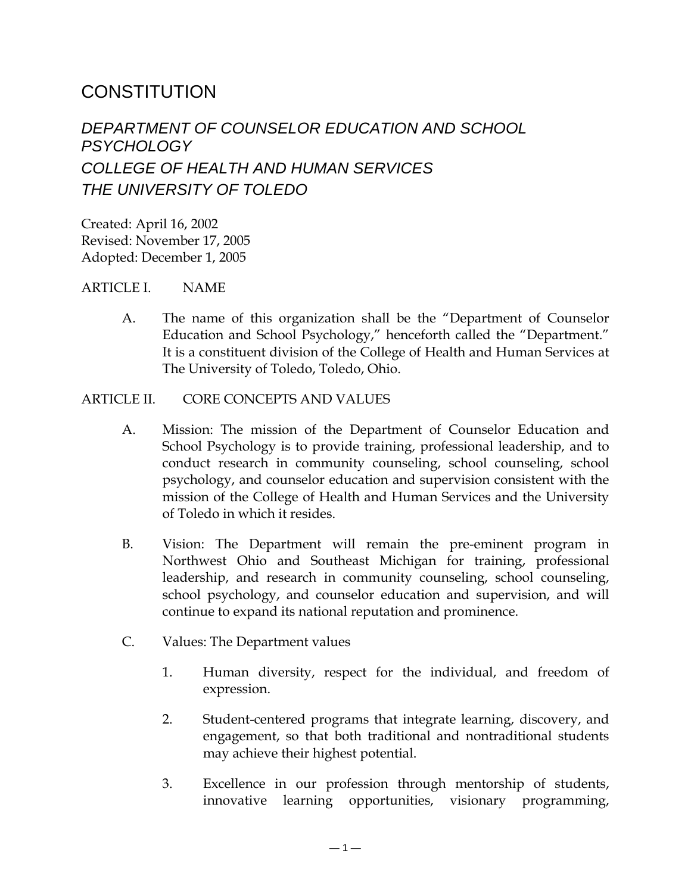# **CONSTITUTION**

## *DEPARTMENT OF COUNSELOR EDUCATION AND SCHOOL PSYCHOLOGY COLLEGE OF HEALTH AND HUMAN SERVICES THE UNIVERSITY OF TOLEDO*

Created: April 16, 2002 Revised: November 17, 2005 Adopted: December 1, 2005

#### ARTICLE I. NAME

A. The name of this organization shall be the "Department of Counselor Education and School Psychology," henceforth called the "Department." It is a constituent division of the College of Health and Human Services at The University of Toledo, Toledo, Ohio.

#### ARTICLE II. CORE CONCEPTS AND VALUES

- A. Mission: The mission of the Department of Counselor Education and School Psychology is to provide training, professional leadership, and to conduct research in community counseling, school counseling, school psychology, and counselor education and supervision consistent with the mission of the College of Health and Human Services and the University of Toledo in which it resides.
- B. Vision: The Department will remain the pre-eminent program in Northwest Ohio and Southeast Michigan for training, professional leadership, and research in community counseling, school counseling, school psychology, and counselor education and supervision, and will continue to expand its national reputation and prominence.
- C. Values: The Department values
	- 1. Human diversity, respect for the individual, and freedom of expression.
	- 2. Student-centered programs that integrate learning, discovery, and engagement, so that both traditional and nontraditional students may achieve their highest potential.
	- 3. Excellence in our profession through mentorship of students, innovative learning opportunities, visionary programming,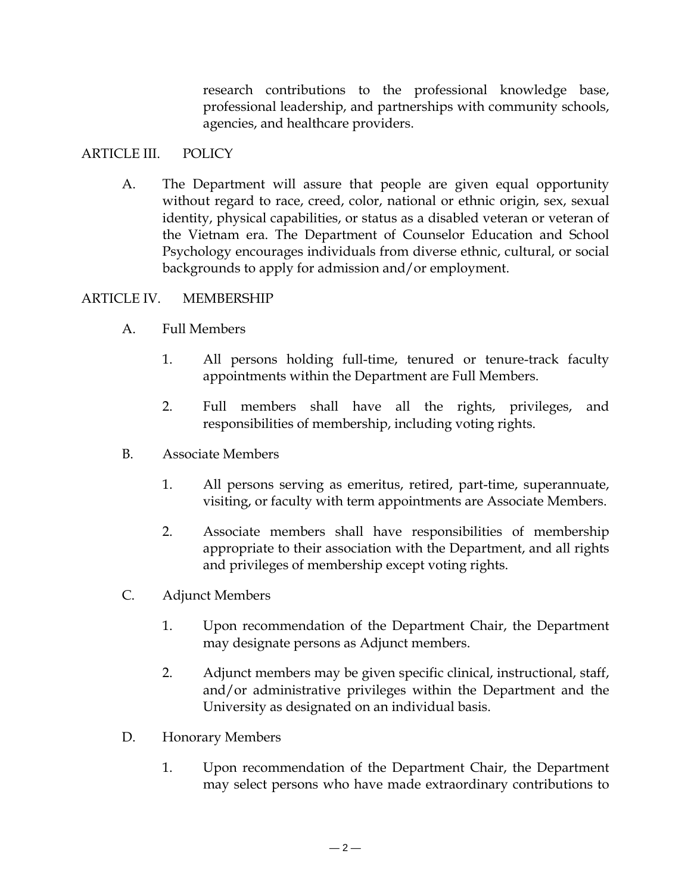research contributions to the professional knowledge base, professional leadership, and partnerships with community schools, agencies, and healthcare providers.

## ARTICLE III. POLICY

A. The Department will assure that people are given equal opportunity without regard to race, creed, color, national or ethnic origin, sex, sexual identity, physical capabilities, or status as a disabled veteran or veteran of the Vietnam era. The Department of Counselor Education and School Psychology encourages individuals from diverse ethnic, cultural, or social backgrounds to apply for admission and/or employment.

#### ARTICLE IV. MEMBERSHIP

- A. Full Members
	- 1. All persons holding full-time, tenured or tenure-track faculty appointments within the Department are Full Members.
	- 2. Full members shall have all the rights, privileges, and responsibilities of membership, including voting rights.
- B. Associate Members
	- 1. All persons serving as emeritus, retired, part-time, superannuate, visiting, or faculty with term appointments are Associate Members.
	- 2. Associate members shall have responsibilities of membership appropriate to their association with the Department, and all rights and privileges of membership except voting rights.
- C. Adjunct Members
	- 1. Upon recommendation of the Department Chair, the Department may designate persons as Adjunct members.
	- 2. Adjunct members may be given specific clinical, instructional, staff, and/or administrative privileges within the Department and the University as designated on an individual basis.
- D. Honorary Members
	- 1. Upon recommendation of the Department Chair, the Department may select persons who have made extraordinary contributions to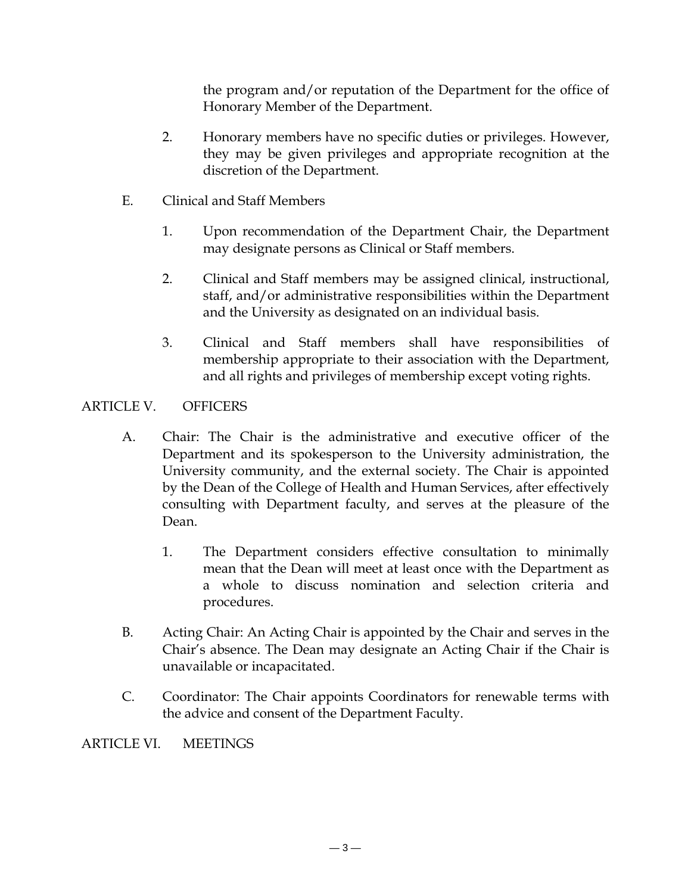the program and/or reputation of the Department for the office of Honorary Member of the Department.

- 2. Honorary members have no specific duties or privileges. However, they may be given privileges and appropriate recognition at the discretion of the Department.
- E. Clinical and Staff Members
	- 1. Upon recommendation of the Department Chair, the Department may designate persons as Clinical or Staff members.
	- 2. Clinical and Staff members may be assigned clinical, instructional, staff, and/or administrative responsibilities within the Department and the University as designated on an individual basis.
	- 3. Clinical and Staff members shall have responsibilities of membership appropriate to their association with the Department, and all rights and privileges of membership except voting rights.

## ARTICLE V. OFFICERS

- A. Chair: The Chair is the administrative and executive officer of the Department and its spokesperson to the University administration, the University community, and the external society. The Chair is appointed by the Dean of the College of Health and Human Services, after effectively consulting with Department faculty, and serves at the pleasure of the Dean.
	- 1. The Department considers effective consultation to minimally mean that the Dean will meet at least once with the Department as a whole to discuss nomination and selection criteria and procedures.
- B. Acting Chair: An Acting Chair is appointed by the Chair and serves in the Chair's absence. The Dean may designate an Acting Chair if the Chair is unavailable or incapacitated.
- C. Coordinator: The Chair appoints Coordinators for renewable terms with the advice and consent of the Department Faculty.

ARTICLE VI. MEETINGS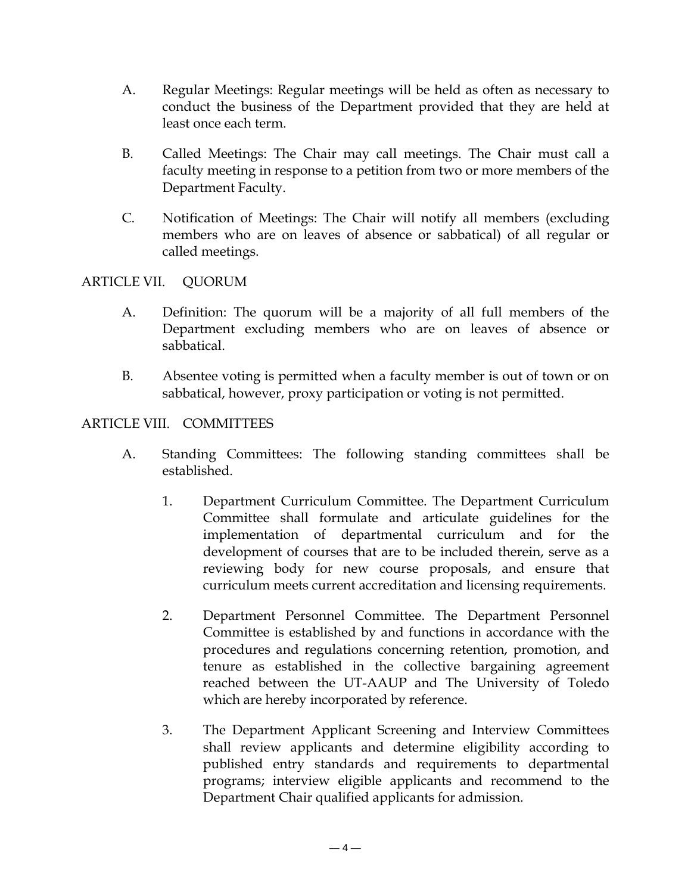- A. Regular Meetings: Regular meetings will be held as often as necessary to conduct the business of the Department provided that they are held at least once each term.
- B. Called Meetings: The Chair may call meetings. The Chair must call a faculty meeting in response to a petition from two or more members of the Department Faculty.
- C. Notification of Meetings: The Chair will notify all members (excluding members who are on leaves of absence or sabbatical) of all regular or called meetings.

## ARTICLE VII. QUORUM

- A. Definition: The quorum will be a majority of all full members of the Department excluding members who are on leaves of absence or sabbatical.
- B. Absentee voting is permitted when a faculty member is out of town or on sabbatical, however, proxy participation or voting is not permitted.

#### ARTICLE VIII. COMMITTEES

- A. Standing Committees: The following standing committees shall be established.
	- 1. Department Curriculum Committee. The Department Curriculum Committee shall formulate and articulate guidelines for the implementation of departmental curriculum and for the development of courses that are to be included therein, serve as a reviewing body for new course proposals, and ensure that curriculum meets current accreditation and licensing requirements.
	- 2. Department Personnel Committee. The Department Personnel Committee is established by and functions in accordance with the procedures and regulations concerning retention, promotion, and tenure as established in the collective bargaining agreement reached between the UT-AAUP and The University of Toledo which are hereby incorporated by reference.
	- 3. The Department Applicant Screening and Interview Committees shall review applicants and determine eligibility according to published entry standards and requirements to departmental programs; interview eligible applicants and recommend to the Department Chair qualified applicants for admission.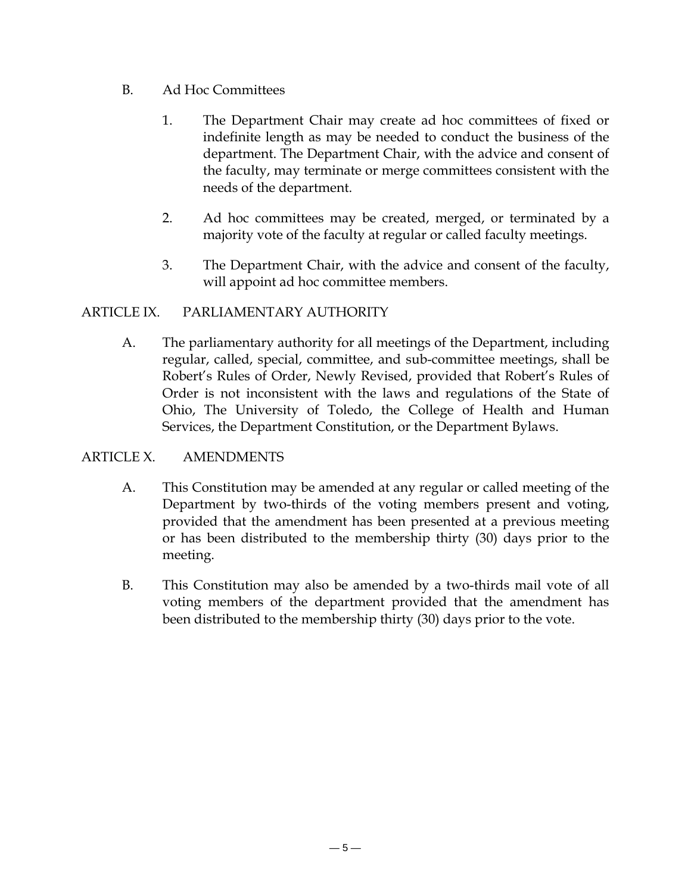## B. Ad Hoc Committees

- 1. The Department Chair may create ad hoc committees of fixed or indefinite length as may be needed to conduct the business of the department. The Department Chair, with the advice and consent of the faculty, may terminate or merge committees consistent with the needs of the department.
- 2. Ad hoc committees may be created, merged, or terminated by a majority vote of the faculty at regular or called faculty meetings.
- 3. The Department Chair, with the advice and consent of the faculty, will appoint ad hoc committee members.

#### ARTICLE IX. PARLIAMENTARY AUTHORITY

A. The parliamentary authority for all meetings of the Department, including regular, called, special, committee, and sub-committee meetings, shall be Robert's Rules of Order, Newly Revised, provided that Robert's Rules of Order is not inconsistent with the laws and regulations of the State of Ohio, The University of Toledo, the College of Health and Human Services, the Department Constitution, or the Department Bylaws.

## ARTICLE X. AMENDMENTS

- A. This Constitution may be amended at any regular or called meeting of the Department by two-thirds of the voting members present and voting, provided that the amendment has been presented at a previous meeting or has been distributed to the membership thirty (30) days prior to the meeting.
- B. This Constitution may also be amended by a two-thirds mail vote of all voting members of the department provided that the amendment has been distributed to the membership thirty (30) days prior to the vote.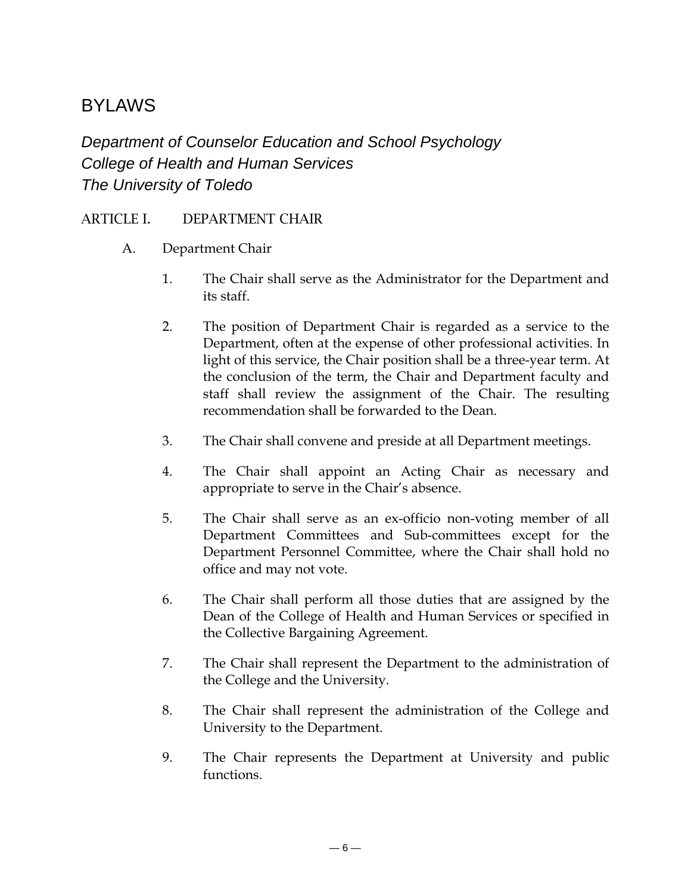## BYLAWS

*Department of Counselor Education and School Psychology College of Health and Human Services The University of Toledo* 

## ARTICLE I. DEPARTMENT CHAIR

- A. Department Chair
	- 1. The Chair shall serve as the Administrator for the Department and its staff.
	- 2. The position of Department Chair is regarded as a service to the Department, often at the expense of other professional activities. In light of this service, the Chair position shall be a three-year term. At the conclusion of the term, the Chair and Department faculty and staff shall review the assignment of the Chair. The resulting recommendation shall be forwarded to the Dean.
	- 3. The Chair shall convene and preside at all Department meetings.
	- 4. The Chair shall appoint an Acting Chair as necessary and appropriate to serve in the Chair's absence.
	- 5. The Chair shall serve as an ex-officio non-voting member of all Department Committees and Sub-committees except for the Department Personnel Committee, where the Chair shall hold no office and may not vote.
	- 6. The Chair shall perform all those duties that are assigned by the Dean of the College of Health and Human Services or specified in the Collective Bargaining Agreement.
	- 7. The Chair shall represent the Department to the administration of the College and the University.
	- 8. The Chair shall represent the administration of the College and University to the Department.
	- 9. The Chair represents the Department at University and public functions.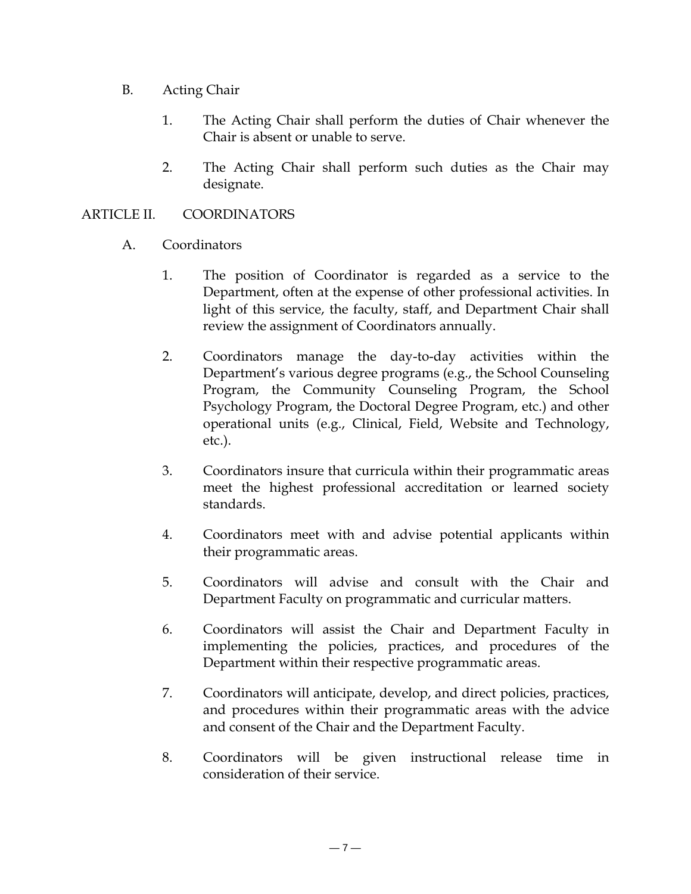- B. Acting Chair
	- 1. The Acting Chair shall perform the duties of Chair whenever the Chair is absent or unable to serve.
	- 2. The Acting Chair shall perform such duties as the Chair may designate.

## ARTICLE II. COORDINATORS

- A. Coordinators
	- 1. The position of Coordinator is regarded as a service to the Department, often at the expense of other professional activities. In light of this service, the faculty, staff, and Department Chair shall review the assignment of Coordinators annually.
	- 2. Coordinators manage the day-to-day activities within the Department's various degree programs (e.g., the School Counseling Program, the Community Counseling Program, the School Psychology Program, the Doctoral Degree Program, etc.) and other operational units (e.g., Clinical, Field, Website and Technology, etc.).
	- 3. Coordinators insure that curricula within their programmatic areas meet the highest professional accreditation or learned society standards.
	- 4. Coordinators meet with and advise potential applicants within their programmatic areas.
	- 5. Coordinators will advise and consult with the Chair and Department Faculty on programmatic and curricular matters.
	- 6. Coordinators will assist the Chair and Department Faculty in implementing the policies, practices, and procedures of the Department within their respective programmatic areas.
	- 7. Coordinators will anticipate, develop, and direct policies, practices, and procedures within their programmatic areas with the advice and consent of the Chair and the Department Faculty.
	- 8. Coordinators will be given instructional release time in consideration of their service.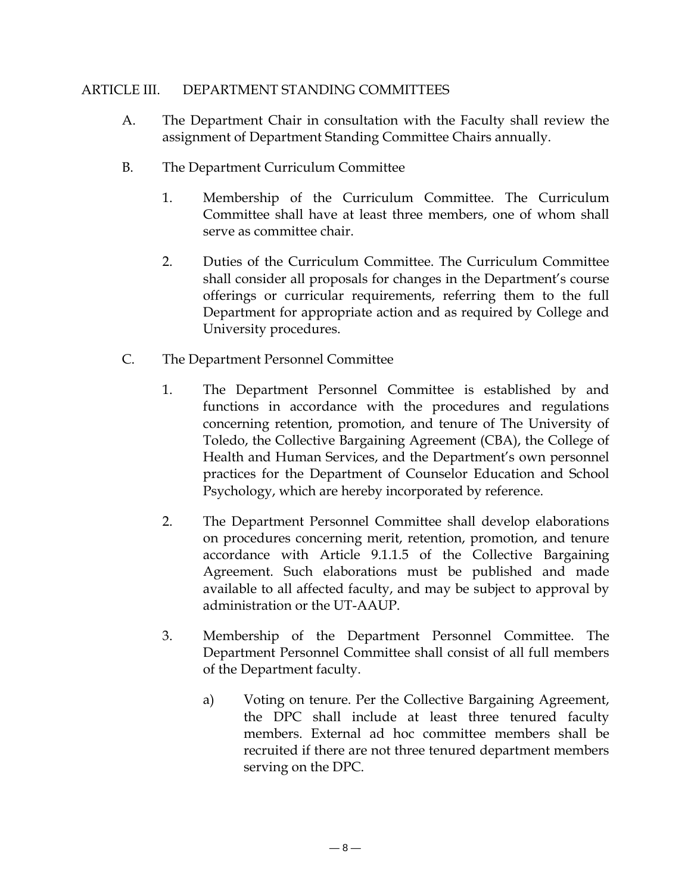#### ARTICLE III. DEPARTMENT STANDING COMMITTEES

- A. The Department Chair in consultation with the Faculty shall review the assignment of Department Standing Committee Chairs annually.
- B. The Department Curriculum Committee
	- 1. Membership of the Curriculum Committee. The Curriculum Committee shall have at least three members, one of whom shall serve as committee chair.
	- 2. Duties of the Curriculum Committee. The Curriculum Committee shall consider all proposals for changes in the Department's course offerings or curricular requirements, referring them to the full Department for appropriate action and as required by College and University procedures.
- C. The Department Personnel Committee
	- 1. The Department Personnel Committee is established by and functions in accordance with the procedures and regulations concerning retention, promotion, and tenure of The University of Toledo, the Collective Bargaining Agreement (CBA), the College of Health and Human Services, and the Department's own personnel practices for the Department of Counselor Education and School Psychology, which are hereby incorporated by reference.
	- 2. The Department Personnel Committee shall develop elaborations on procedures concerning merit, retention, promotion, and tenure accordance with Article 9.1.1.5 of the Collective Bargaining Agreement. Such elaborations must be published and made available to all affected faculty, and may be subject to approval by administration or the UT-AAUP.
	- 3. Membership of the Department Personnel Committee. The Department Personnel Committee shall consist of all full members of the Department faculty.
		- a) Voting on tenure. Per the Collective Bargaining Agreement, the DPC shall include at least three tenured faculty members. External ad hoc committee members shall be recruited if there are not three tenured department members serving on the DPC.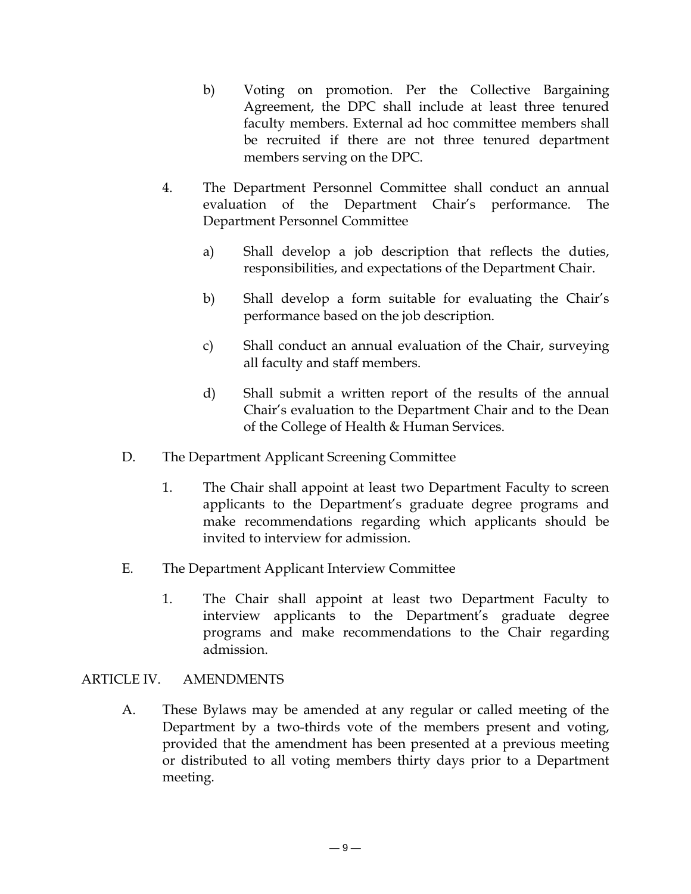- b) Voting on promotion. Per the Collective Bargaining Agreement, the DPC shall include at least three tenured faculty members. External ad hoc committee members shall be recruited if there are not three tenured department members serving on the DPC.
- 4. The Department Personnel Committee shall conduct an annual evaluation of the Department Chair's performance. The Department Personnel Committee
	- a) Shall develop a job description that reflects the duties, responsibilities, and expectations of the Department Chair.
	- b) Shall develop a form suitable for evaluating the Chair's performance based on the job description.
	- c) Shall conduct an annual evaluation of the Chair, surveying all faculty and staff members.
	- d) Shall submit a written report of the results of the annual Chair's evaluation to the Department Chair and to the Dean of the College of Health & Human Services.
- D. The Department Applicant Screening Committee
	- 1. The Chair shall appoint at least two Department Faculty to screen applicants to the Department's graduate degree programs and make recommendations regarding which applicants should be invited to interview for admission.
- E. The Department Applicant Interview Committee
	- 1. The Chair shall appoint at least two Department Faculty to interview applicants to the Department's graduate degree programs and make recommendations to the Chair regarding admission.

#### ARTICLE IV. AMENDMENTS

A. These Bylaws may be amended at any regular or called meeting of the Department by a two-thirds vote of the members present and voting, provided that the amendment has been presented at a previous meeting or distributed to all voting members thirty days prior to a Department meeting.